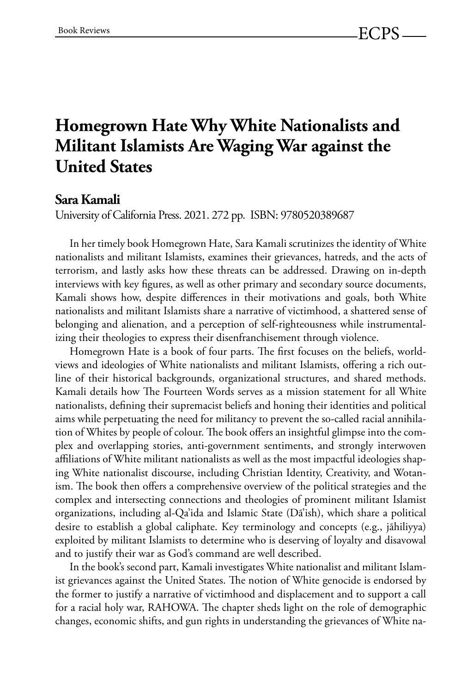## **Homegrown Hate Why White Nationalists and Militant Islamists Are Waging War against the United States**

## **Sara Kamali**

University of California Press. 2021. 272 pp. ISBN: 9780520389687

In her timely book Homegrown Hate, Sara Kamali scrutinizes the identity of White nationalists and militant Islamists, examines their grievances, hatreds, and the acts of terrorism, and lastly asks how these threats can be addressed. Drawing on in-depth interviews with key figures, as well as other primary and secondary source documents, Kamali shows how, despite differences in their motivations and goals, both White nationalists and militant Islamists share a narrative of victimhood, a shattered sense of belonging and alienation, and a perception of self-righteousness while instrumentalizing their theologies to express their disenfranchisement through violence.

Homegrown Hate is a book of four parts. The first focuses on the beliefs, worldviews and ideologies of White nationalists and militant Islamists, offering a rich outline of their historical backgrounds, organizational structures, and shared methods. Kamali details how The Fourteen Words serves as a mission statement for all White nationalists, defining their supremacist beliefs and honing their identities and political aims while perpetuating the need for militancy to prevent the so-called racial annihilation of Whites by people of colour. The book offers an insightful glimpse into the complex and overlapping stories, anti-government sentiments, and strongly interwoven affiliations of White militant nationalists as well as the most impactful ideologies shaping White nationalist discourse, including Christian Identity, Creativity, and Wotanism. The book then offers a comprehensive overview of the political strategies and the complex and intersecting connections and theologies of prominent militant Islamist organizations, including al-Qa'ida and Islamic State (Dã'ish), which share a political desire to establish a global caliphate. Key terminology and concepts (e.g., jãhiliyya) exploited by militant Islamists to determine who is deserving of loyalty and disavowal and to justify their war as God's command are well described.

In the book's second part, Kamali investigates White nationalist and militant Islamist grievances against the United States. The notion of White genocide is endorsed by the former to justify a narrative of victimhood and displacement and to support a call for a racial holy war, RAHOWA. The chapter sheds light on the role of demographic changes, economic shifts, and gun rights in understanding the grievances of White na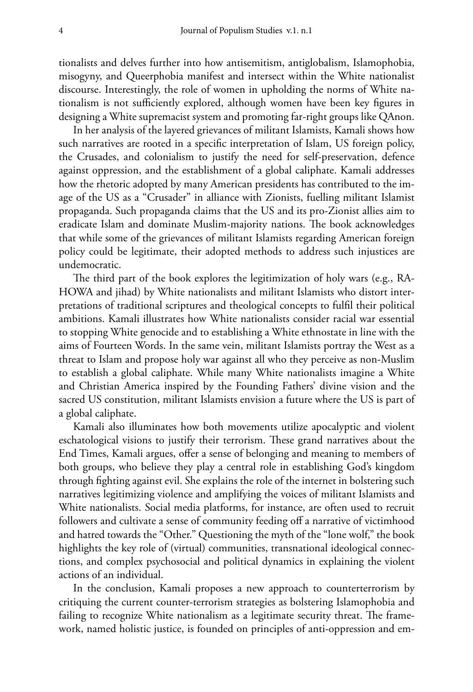tionalists and delves further into how antisemitism, antiglobalism, Islamophobia, misogyny, and Queerphobia manifest and intersect within the White nationalist discourse. Interestingly, the role of women in upholding the norms of White nationalism is not sufficiently explored, although women have been key figures in designing a White supremacist system and promoting far-right groups like QAnon.

In her analysis of the layered grievances of militant Islamists, Kamali shows how such narratives are rooted in a specific interpretation of Islam, US foreign policy, the Crusades, and colonialism to justify the need for self-preservation, defence against oppression, and the establishment of a global caliphate. Kamali addresses how the rhetoric adopted by many American presidents has contributed to the image of the US as a "Crusader" in alliance with Zionists, fuelling militant Islamist propaganda. Such propaganda claims that the US and its pro-Zionist allies aim to eradicate Islam and dominate Muslim-majority nations. The book acknowledges that while some of the grievances of militant Islamists regarding American foreign policy could be legitimate, their adopted methods to address such injustices are undemocratic.

The third part of the book explores the legitimization of holy wars (e.g., RA-HOWA and jihad) by White nationalists and militant Islamists who distort interpretations of traditional scriptures and theological concepts to fulfil their political ambitions. Kamali illustrates how White nationalists consider racial war essential to stopping White genocide and to establishing a White ethnostate in line with the aims of Fourteen Words. In the same vein, militant Islamists portray the West as a threat to Islam and propose holy war against all who they perceive as non-Muslim to establish a global caliphate. While many White nationalists imagine a White and Christian America inspired by the Founding Fathers' divine vision and the sacred US constitution, militant Islamists envision a future where the US is part of a global caliphate.

Kamali also illuminates how both movements utilize apocalyptic and violent eschatological visions to justify their terrorism. These grand narratives about the End Times, Kamali argues, offer a sense of belonging and meaning to members of both groups, who believe they play a central role in establishing God's kingdom through fighting against evil. She explains the role of the internet in bolstering such narratives legitimizing violence and amplifying the voices of militant Islamists and White nationalists. Social media platforms, for instance, are often used to recruit followers and cultivate a sense of community feeding off a narrative of victimhood and hatred towards the "Other." Questioning the myth of the "lone wolf," the book highlights the key role of (virtual) communities, transnational ideological connections, and complex psychosocial and political dynamics in explaining the violent actions of an individual.

In the conclusion, Kamali proposes a new approach to counterterrorism by critiquing the current counter-terrorism strategies as bolstering Islamophobia and failing to recognize White nationalism as a legitimate security threat. The framework, named holistic justice, is founded on principles of anti-oppression and em